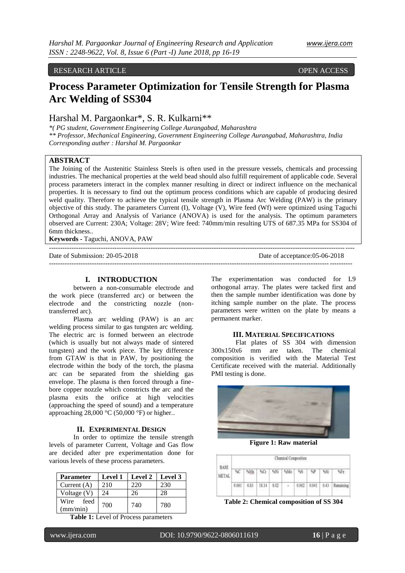# RESEARCH ARTICLE **CONSERVANCE OPEN ACCESS**

# **Process Parameter Optimization for Tensile Strength for Plasma Arc Welding of SS304**

# Harshal M. Pargaonkar\*, S. R. Kulkarni\*\*

*\*( PG student, Government Engineering College Aurangabad, Maharashtra \*\* Professor, Mechanical Engineering, Government Engineering College Aurangabad, Maharashtra, India Corresponding auther : Harshal M. Pargaonkar*

# **ABSTRACT**

The Joining of the Austenitic Stainless Steels is often used in the pressure vessels, chemicals and processing industries. The mechanical properties at the weld bead should also fulfill requirement of applicable code. Several process parameters interact in the complex manner resulting in direct or indirect influence on the mechanical properties. It is necessary to find out the optimum process conditions which are capable of producing desired weld quality. Therefore to achieve the typical tensile strength in Plasma Arc Welding (PAW) is the primary objective of this study. The parameters Current (I), Voltage (V), Wire feed (Wf) were optimized using Taguchi Orthogonal Array and Analysis of Variance (ANOVA) is used for the analysis. The optimum parameters observed are Current: 230A; Voltage: 28V; Wire feed: 740mm/min resulting UTS of 687.35 MPa for SS304 of 6mm thickness..

**Keywords -** Taguchi, ANOVA, PAW

Date of Submission: 20-05-2018 Date of acceptance:05-06-2018

--------------------------------------------------------------------------------------------------------------------------------------

---------------------------------------------------------------------------------------------------------------------------------------

# **I. INTRODUCTION**

between a non-consumable electrode and the work piece (transferred arc) or between the electrode and the constricting nozzle (nontransferred arc).

Plasma arc welding (PAW) is an arc welding process similar to gas tungsten arc welding. The electric arc is formed between an electrode (which is usually but not always made of sintered tungsten) and the work piece. The key difference from GTAW is that in PAW, by positioning the electrode within the body of the torch, the plasma arc can be separated from the shielding gas envelope. The plasma is then forced through a finebore copper nozzle which constricts the arc and the plasma exits the orifice at high velocities (approaching the speed of sound) and a temperature approaching  $28,000 \degree C$  (50,000  $\degree F$ ) or higher...

## **II. EXPERIMENTAL DESIGN**

In order to optimize the tensile strength levels of parameter Current, Voltage and Gas flow are decided after pre experimentation done for various levels of these process parameters.

| Parameter                | <b>Level 1</b> | <b>Level 2</b> | Level 3 |  |
|--------------------------|----------------|----------------|---------|--|
| Current $(A)$            | 210            | 220            | 230     |  |
| Voltage (V)              | 24             | 26             | 28      |  |
| feed<br>Wire<br>(mm/min) | 700            | 740            | 780     |  |

**Table 1:** Level of Process parameters

The experimentation was conducted for L9 orthogonal array. The plates were tacked first and then the sample number identification was done by itching sample number on the plate. The process parameters were written on the plate by means a permanent marker.

#### **III. MATERIAL SPECIFICATIONS**

Flat plates of SS 304 with dimension 300x150x6 mm are taken. The chemical composition is verified with the Material Test Certificate received with the material. Additionally PMI testing is done.



**Figure 1: Raw material**

| <b>MARCHER</b>       | Chemical Composition<br>2 요즘 뒤 2000년 12월 90일 1200 1200 11 |      |      |      |  |       |       |              |  |
|----------------------|-----------------------------------------------------------|------|------|------|--|-------|-------|--------------|--|
| <b>BASE</b><br>METAI |                                                           |      | NCL  | W    |  |       | ٩D    | 45           |  |
|                      | 0.061                                                     | 8.93 | an a | 6.02 |  | 0.002 | 110.0 | <b>SALES</b> |  |

**Table 2: Chemical composition of SS 304**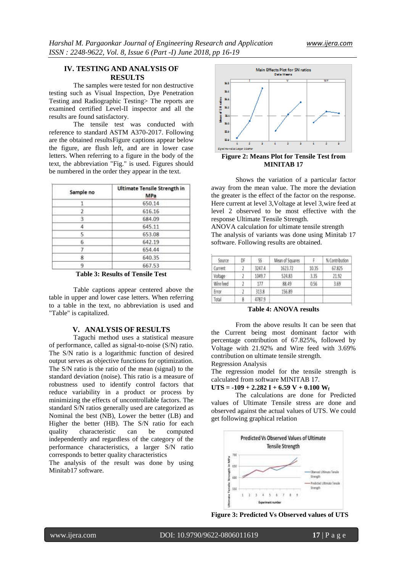# **IV. TESTING AND ANALYSIS OF RESULTS**

The samples were tested for non destructive testing such as Visual Inspection, Dye Penetration Testing and Radiographic Testing> The reports are examined certified Level-II inspector and all the results are found satisfactory.

The tensile test was conducted with reference to standard ASTM A370-2017. Following are the obtained resultsFigure captions appear below the figure, are flush left, and are in lower case letters. When referring to a figure in the body of the text, the abbreviation "Fig." is used. Figures should be numbered in the order they appear in the text.

| Sample no | Ultimate Tensile Strength in<br>MPa |  |  |  |
|-----------|-------------------------------------|--|--|--|
|           | 650.14                              |  |  |  |
|           | 616.16                              |  |  |  |
| з         | 684.09                              |  |  |  |
| 4         | 645.11                              |  |  |  |
| 5         | 653.08                              |  |  |  |
| 6         | 642.19                              |  |  |  |
|           | 654.44                              |  |  |  |
| 8         | 640.35                              |  |  |  |
| ۹         | 667.53                              |  |  |  |

**Table 3: Results of Tensile Test**

Table captions appear centered above the table in upper and lower case letters. When referring to a table in the text, no abbreviation is used and "Table" is capitalized.

#### **V. ANALYSIS OF RESULTS**

Taguchi method uses a statistical measure of performance, called as signal-to-noise (S/N) ratio. The S/N ratio is a logarithmic function of desired output serves as objective functions for optimization. The S/N ratio is the ratio of the mean (signal) to the standard deviation (noise). This ratio is a measure of robustness used to identify control factors that reduce variability in a product or process by minimizing the effects of uncontrollable factors. The standard S/N ratios generally used are categorized as Nominal the best (NB), Lower the better (LB) and Higher the better (HB). The S/N ratio for each quality characteristic can be computed independently and regardless of the category of the performance characteristics, a larger S/N ratio corresponds to better quality characteristics

The analysis of the result was done by using Minitab17 software.



**Figure 2: Means Plot for Tensile Test from MINITAB 17**

Shows the variation of a particular factor away from the mean value. The more the deviation the greater is the effect of the factor on the response. Here current at level 3,Voltage at level 3,wire feed at level 2 observed to be most effective with the response Ultimate Tensile Strength.

ANOVA calculation for ultimate tensile strength The analysis of variants was done using Minitab 17 software. Following results are obtained.

| Source    | DF. | 55.    | Mean of Squares | F.    | % Contribution |
|-----------|-----|--------|-----------------|-------|----------------|
| Current   |     | 3247.4 | 1623.72         | 10.35 | 67.825         |
| Voltage   |     | 1049.7 | 524.83          | 3.35  | 21.92          |
| Wire feed |     | 177    | 88.49           | 0.56  | 3.69           |
| Error     |     | 313.8  | 156.89          |       |                |
| Total     |     | 4787.9 |                 |       |                |

**Table 4: ANOVA results**

From the above results It can be seen that the Current being most dominant factor with percentage contribution of 67.825%, followed by Voltage with 21.92% and Wire feed with 3.69% contribution on ultimate tensile strength.

Regression Analysis

The regression model for the tensile strength is calculated from software MINITAB 17.

#### $UTS = -109 + 2.282 I + 6.59 V + 0.100 W_f$

The calculations are done for Predicted values of Ultimate Tensile stress are done and observed against the actual values of UTS. We could get following graphical relation



**Figure 3: Predicted Vs Observed values of UTS**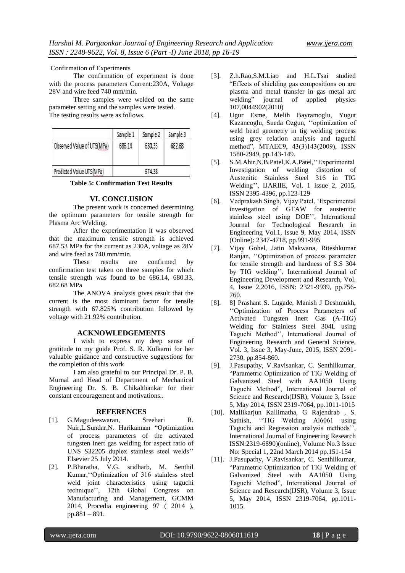Confirmation of Experiments

The confirmation of experiment is done with the process parameters Current:230A, Voltage 28V and wire feed 740 mm/min.

Three samples were welded on the same parameter setting and the samples were tested. The testing results were as follows.

|                            | Sample 1 | Sample 2 | Sample 3 |
|----------------------------|----------|----------|----------|
| Observed Value of UTS(MPa) | 686.14   | 680.33   | 682.68   |
| Predicted Value UTS(MPa)   |          | 674.38   |          |

**Table 5: Confirmation Test Results**

## **VI. CONCLUSION**

The present work is concerned determining the optimum parameters for tensile strength for Plasma Arc Welding.

After the experimentation it was observed that the maximum tensile strength is achieved 687.53 MPa for the current as 230A, voltage as 28V and wire feed as 740 mm/min.

These results are confirmed by confirmation test taken on three samples for which tensile strength was found to be 686.14, 680.33, 682.68 MPa

The ANOVA analysis gives result that the current is the most dominant factor for tensile strength with 67.825% contribution followed by voltage with 21.92% contribution.

#### **ACKNOWLEDGEMENTS**

I wish to express my deep sense of gratitude to my guide Prof. S. R. Kulkarni for her valuable guidance and constructive suggestions for the completion of this work

I am also grateful to our Principal Dr. P. B. Murnal and Head of Department of Mechanical Engineering Dr. S. B. Chikalthankar for their constant encouragement and motivations..

#### **REFERENCES**

- [1]. G.Magudeeswaran, Sreehari R. Nair,L.Sundar,N. Harikannan "Optimization of process parameters of the activated tungsten inert gas welding for aspect ratio of UNS S32205 duplex stainless steel welds" Elsevier 25 July 2014.
- [2]. P.Bharatha, V.G. sridharb, M. Senthil Kumar, "Optimization of 316 stainless steel weld joint characteristics using taguchi technique", 12th Global Congress on Manufacturing and Management, GCMM 2014, Procedia engineering 97 ( 2014 ), pp.881 – 891.
- [3]. Z.h.Rao,S.M.Liao and H.L.Tsai studied "Effects of shielding gas compositions on arc plasma and metal transfer in gas metal arc welding" journal of applied physics 107,0044902(2010)
- [4]. Ugur Esme, Melih Bayramoglu, Yugut Kazancoglu, Sueda Ozgun, "optimization of weld bead geometry in tig welding process using grey relation analysis and taguchi method", MTAEC9, 43(3)143(2009), ISSN 1580-2949, pp.143-149.
- [5]. S.M.Ahir, N.B.Patel, K.A.Patel, "Experimental" Investigation of welding distortion of Austenitic Stainless Steel 316 in TIG Welding", IJARIIE, Vol. 1 Issue 2, 2015, ISSN 2395-4396, pp.123-129
- [6]. Vedprakash Singh, Vijay Patel, "Experimental investigation of GTAW for austenitic stainless steel using DOE", International Journal for Technological Research in Engineering Vol.1, Issue 9, May 2014, ISSN (Online): 2347-4718, pp.991-995
- [7]. Vijay Gohel, Jatin Makwana, Riteshkumar Ranjan, "Optimization of process parameter for tensile strength and hardness of S.S 304 by TIG welding", International Journal of Engineering Development and Research, Vol. 4, Issue 2,2016, ISSN: 2321-9939, pp.756- 760.
- [8]. 8] Prashant S. Lugade, Manish J Deshmukh, "Optimization of Process Parameters of Activated Tungsten Inert Gas (A-TIG) Welding for Stainless Steel 304L using Taguchi Method", International Journal of Engineering Research and General Science, Vol. 3, Issue 3, May-June, 2015, ISSN 2091- 2730, pp.854-860.
- [9]. J.Pasupathy, V.Ravisankar, C. Senthilkumar, "Parametric Optimization of TIG Welding of Galvanized Steel with AA1050 Using Taguchi Method", International Journal of Science and Research(IJSR), Volume 3, Issue 5, May 2014, ISSN 2319-7064, pp.1011-1015
- [10]. Mallikarjun Kallimatha, G Rajendrab , S. Sathish, ""TIG Welding Al6061 using Taguchi and Regression analysis methods", International Journal of Engineering Research ISSN:2319-6890)(online), Volume No.3 Issue No: Special 1, 22nd March 2014 pp.151-154
- [11]. J.Pasupathy, V.Ravisankar, C. Senthilkumar, "Parametric Optimization of TIG Welding of Galvanized Steel with AA1050 Using Taguchi Method", International Journal of Science and Research(IJSR), Volume 3, Issue 5, May 2014, ISSN 2319-7064, pp.1011- 1015.